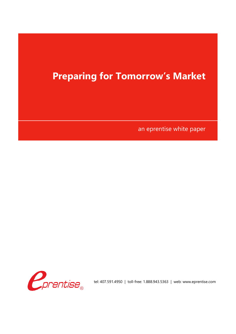an eprentise white paper

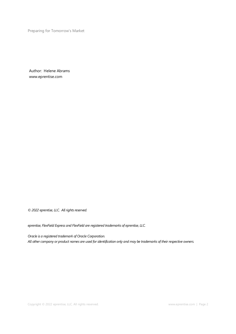Author: Helene Abrams www.eprentise.com

*© 2022 eprentise, LLC. All rights reserved.*

*eprentise, FlexField Express and FlexField are registered trademarks of eprentise, LLC.*

*Oracle is a registered trademark of Oracle Corporation. All other company or product names are used for identification only and may be trademarks of their respective owners.*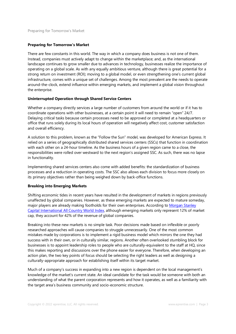There are few constants in this world. The way in which a company does business is not one of them. Instead, companies must actively adapt to change within the marketplace; and, as the international landscape continues to grow smaller due to advances in technology, businesses realize the importance of operating on a global scale. As with any equally ambitious venture, although there is great potential for a strong return on investment (ROI); moving to a global model, or even strengthening one's current global infrastructure, comes with a unique set of challenges. Among the most prevalent are the needs to operate around-the-clock, extend influence within emerging markets, and implement a global vision throughout the enterprise.

### **Uninterrupted Operation through Shared Service Centers**

Whether a company directly services a large number of customers from around the world or if it has to coordinate operations with other businesses, at a certain point it will need to remain "open" 24/7. Delaying critical tasks because certain processes need to be approved or completed at a headquarters or office that runs solely during its local hours of operation will negatively affect cost, customer satisfaction and overall efficiency.

A solution to this problem, known as the "Follow the Sun" model, was developed for American Express. It relied on a series of geographically distributed shared services centers (SSCs) that function in coordination with each other on a 24-hour timeline. As the business hours of a given region came to a close, the responsibilities were rolled over westward to the next region's assigned SSC. As such, there was no lapse in functionality.

Implementing shared services centers also come with added benefits: the standardization of business processes and a reduction in operating costs. The SSC also allows each division to focus more closely on its primary objectives rather than being weighed down by back-office functions.

### **Breaking into Emerging Markets**

Shifting economic tides in recent years have resulted in the development of markets in regions previously unaffected by global companies. However, as these emerging markets are expected to mature someday, major players are already making footholds for their own enterprises. According to Morgan Stanley Capital International All Country World Index, although emerging markets only represent 12% of market cap, they account for 42% of the revenue of global companies.

Breaking into these new markets is no simple task. Poor decisions made based on inflexible or poorly researched approaches will cause companies to struggle unnecessarily. One of the most common mistakes made by corporations is to implement a rigid business model which mirrors the one they had success with in their own, or in culturally similar, regions. Another often overlooked stumbling block for businesses is to appoint leadership roles to people who are culturally-equivalent to the staff at HQ, since this makes reporting and discussions over the phone easier for everyone. Therefore, when developing an action plan, the two key points of focus should be selecting the right leaders as well as designing a culturally-appropriate approach for establishing itself within its target market.

Much of a company's success in expanding into a new region is dependent on the local management's knowledge of the market's current state. An ideal candidate for the task would be someone with both an understanding of what the parent corporation represents and how it operates, as well as a familiarity with the target area's business community and socio-economic structure.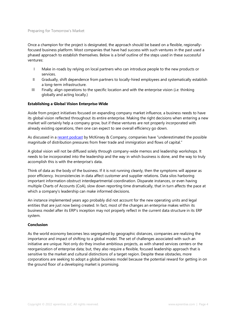Once a champion for the project is designated, the approach should be based on a flexible, regionallyfocused business platform. Most companies that have had success with such ventures in the past used a phased approach to establish themselves. Below is a brief outline of the steps used in these successful ventures:

- I Make in-roads by relying on local partners who can introduce people to the new products or services.
- II Gradually, shift dependence from partners to locally-hired employees and systematically establish a long-term infrastructure.
- III Finally, align operations to the specific location and with the enterprise vision (*i.e.* thinking globally and acting locally.)

### **Establishing a Global Vision Enterprise-Wide**

Aside from project initiatives focused on expanding company market influence, a business needs to have its global vision reflected throughout its entire enterprise. Making the right decisions when entering a new market will certainly help a company grow, but if these ventures are not properly incorporated with already existing operations, then one can expect to see overall efficiency go down.

As discussed in a recent podcast by McKinsey & Company, companies have "underestimated the possible magnitude of distribution pressures from freer trade and immigration and flows of capital."

A global vision will not be diffused solely through company-wide memos and leadership workshops. It needs to be incorporated into the leadership and the way in which business is done, and the way to truly accomplish this is with the enterprise's data.

Think of data as the body of the business. If it is not running cleanly, then the symptoms will appear as poor efficiency. Inconsistencies in data affect customer and supplier relations. Data silos harboring important information obstruct interdepartmental coordination. Disparate instances, or even having multiple Charts of Accounts (CoA), slow down reporting time dramatically, that in turn affects the pace at which a company's leadership can make informed decisions.

An instance implemented years ago probably did not account for the new operating units and legal entities that are just now being created. In fact, most of the changes an enterprise makes within its business model after its ERP's inception may not properly reflect in the current data structure in its ERP system.

#### **Conclusion**

As the world economy becomes less segregated by geographic distances, companies are realizing the importance and impact of shifting to a global model. The set of challenges associated with such an initiative are unique. Not only do they involve ambitious projects, as with shared services centers or the reorganization of enterprise data; but, they also require a flexible, focused leadership approach that is sensitive to the market and cultural distinctions of a target region. Despite these obstacles, more corporations are seeking to adopt a global business model because the potential reward for getting in on the ground floor of a developing market is promising.